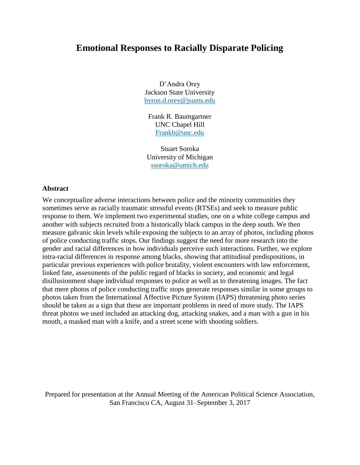# **Emotional Responses to Racially Disparate Policing**

D'Andra Orey Jackson State University [byron.d.orey@jsums.edu](mailto:byron.d.orey@jsums.edu)

Frank R. Baumgartner UNC Chapel Hill [Frankb@unc.edu](mailto:Frankb@unc.edu)

Stuart Soroka University of Michigan [ssoroka@umich.edu](mailto:ssoroka@umich.edu)

#### **Abstract**

We conceptualize adverse interactions between police and the minority communities they sometimes serve as racially traumatic stressful events (RTSEs) and seek to measure public response to them. We implement two experimental studies, one on a white college campus and another with subjects recruited from a historically black campus in the deep south. We then measure galvanic skin levels while exposing the subjects to an array of photos, including photos of police conducting traffic stops. Our findings suggest the need for more research into the gender and racial differences in how individuals perceive such interactions. Further, we explore intra-racial differences in response among blacks, showing that attitudinal predispositions, in particular previous experiences with police brutality, violent encounters with law enforcement, linked fate, assessments of the public regard of blacks in society, and economic and legal disillusionment shape individual responses to police as well as to threatening images. The fact that mere photos of police conducting traffic stops generate responses similar in some groups to photos taken from the International Affective Picture System (IAPS) threatening photo series should be taken as a sign that these are important problems in need of more study. The IAPS threat photos we used included an attacking dog, attacking snakes, and a man with a gun in his mouth, a masked man with a knife, and a street scene with shooting soldiers.

Prepared for presentation at the Annual Meeting of the American Political Science Association, San Francisco CA, August 31–September 3, 2017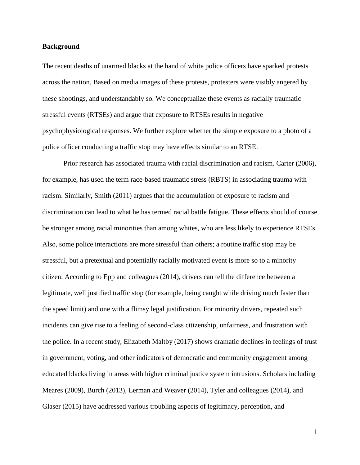#### **Background**

The recent deaths of unarmed blacks at the hand of white police officers have sparked protests across the nation. Based on media images of these protests, protesters were visibly angered by these shootings, and understandably so. We conceptualize these events as racially traumatic stressful events (RTSEs) and argue that exposure to RTSEs results in negative psychophysiological responses. We further explore whether the simple exposure to a photo of a police officer conducting a traffic stop may have effects similar to an RTSE.

Prior research has associated trauma with racial discrimination and racism. Carter (2006), for example, has used the term race-based traumatic stress (RBTS) in associating trauma with racism. Similarly, Smith (2011) argues that the accumulation of exposure to racism and discrimination can lead to what he has termed racial battle fatigue. These effects should of course be stronger among racial minorities than among whites, who are less likely to experience RTSEs. Also, some police interactions are more stressful than others; a routine traffic stop may be stressful, but a pretextual and potentially racially motivated event is more so to a minority citizen. According to Epp and colleagues (2014), drivers can tell the difference between a legitimate, well justified traffic stop (for example, being caught while driving much faster than the speed limit) and one with a flimsy legal justification. For minority drivers, repeated such incidents can give rise to a feeling of second-class citizenship, unfairness, and frustration with the police. In a recent study, Elizabeth Maltby (2017) shows dramatic declines in feelings of trust in government, voting, and other indicators of democratic and community engagement among educated blacks living in areas with higher criminal justice system intrusions. Scholars including Meares (2009), Burch (2013), Lerman and Weaver (2014), Tyler and colleagues (2014), and Glaser (2015) have addressed various troubling aspects of legitimacy, perception, and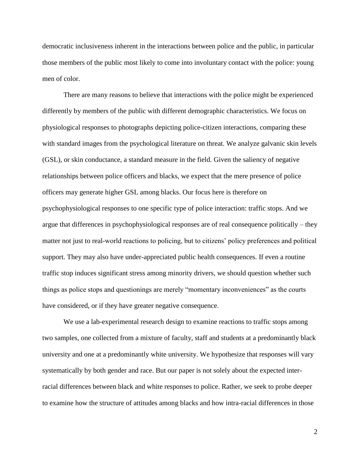democratic inclusiveness inherent in the interactions between police and the public, in particular those members of the public most likely to come into involuntary contact with the police: young men of color.

There are many reasons to believe that interactions with the police might be experienced differently by members of the public with different demographic characteristics. We focus on physiological responses to photographs depicting police-citizen interactions, comparing these with standard images from the psychological literature on threat. We analyze galvanic skin levels (GSL), or skin conductance, a standard measure in the field. Given the saliency of negative relationships between police officers and blacks, we expect that the mere presence of police officers may generate higher GSL among blacks. Our focus here is therefore on psychophysiological responses to one specific type of police interaction: traffic stops. And we argue that differences in psychophysiological responses are of real consequence politically – they matter not just to real-world reactions to policing, but to citizens' policy preferences and political support. They may also have under-appreciated public health consequences. If even a routine traffic stop induces significant stress among minority drivers, we should question whether such things as police stops and questionings are merely "momentary inconveniences" as the courts have considered, or if they have greater negative consequence.

We use a lab-experimental research design to examine reactions to traffic stops among two samples, one collected from a mixture of faculty, staff and students at a predominantly black university and one at a predominantly white university. We hypothesize that responses will vary systematically by both gender and race. But our paper is not solely about the expected interracial differences between black and white responses to police. Rather, we seek to probe deeper to examine how the structure of attitudes among blacks and how intra-racial differences in those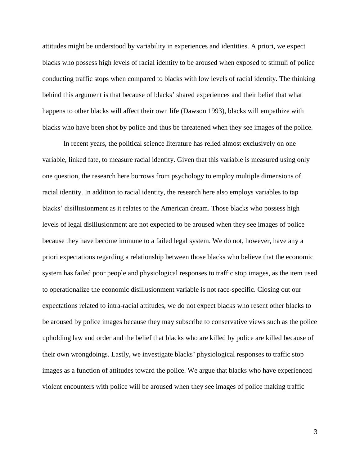attitudes might be understood by variability in experiences and identities. A priori, we expect blacks who possess high levels of racial identity to be aroused when exposed to stimuli of police conducting traffic stops when compared to blacks with low levels of racial identity. The thinking behind this argument is that because of blacks' shared experiences and their belief that what happens to other blacks will affect their own life (Dawson 1993), blacks will empathize with blacks who have been shot by police and thus be threatened when they see images of the police.

In recent years, the political science literature has relied almost exclusively on one variable, linked fate, to measure racial identity. Given that this variable is measured using only one question, the research here borrows from psychology to employ multiple dimensions of racial identity. In addition to racial identity, the research here also employs variables to tap blacks' disillusionment as it relates to the American dream. Those blacks who possess high levels of legal disillusionment are not expected to be aroused when they see images of police because they have become immune to a failed legal system. We do not, however, have any a priori expectations regarding a relationship between those blacks who believe that the economic system has failed poor people and physiological responses to traffic stop images, as the item used to operationalize the economic disillusionment variable is not race-specific. Closing out our expectations related to intra-racial attitudes, we do not expect blacks who resent other blacks to be aroused by police images because they may subscribe to conservative views such as the police upholding law and order and the belief that blacks who are killed by police are killed because of their own wrongdoings. Lastly, we investigate blacks' physiological responses to traffic stop images as a function of attitudes toward the police. We argue that blacks who have experienced violent encounters with police will be aroused when they see images of police making traffic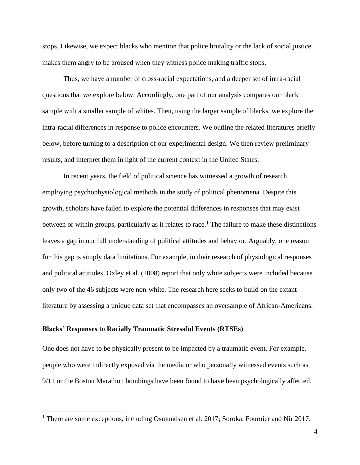stops. Likewise, we expect blacks who mention that police brutality or the lack of social justice makes them angry to be aroused when they witness police making traffic stops.

Thus, we have a number of cross-racial expectations, and a deeper set of intra-racial questions that we explore below. Accordingly, one part of our analysis compares our black sample with a smaller sample of whites. Then, using the larger sample of blacks, we explore the intra-racial differences in response to police encounters. We outline the related literatures briefly below, before turning to a description of our experimental design. We then review preliminary results, and interpret them in light of the current context in the United States.

In recent years, the field of political science has witnessed a growth of research employing psychophysiological methods in the study of political phenomena. Despite this growth, scholars have failed to explore the potential differences in responses that may exist between or within groups, particularly as it relates to race.**<sup>1</sup>** The failure to make these distinctions leaves a gap in our full understanding of political attitudes and behavior. Arguably, one reason for this gap is simply data limitations. For example, in their research of physiological responses and political attitudes, Oxley et al. (2008) report that only white subjects were included because only two of the 46 subjects were non-white. The research here seeks to build on the extant literature by assessing a unique data set that encompasses an oversample of African-Americans.

# **Blacks' Responses to Racially Traumatic Stressful Events (RTSEs)**

 $\overline{a}$ 

One does not have to be physically present to be impacted by a traumatic event. For example, people who were indirectly exposed via the media or who personally witnessed events such as 9/11 or the Boston Marathon bombings have been found to have been psychologically affected.

<sup>&</sup>lt;sup>1</sup> There are some exceptions, including Osmundsen et al. 2017; Soroka, Fournier and Nir 2017.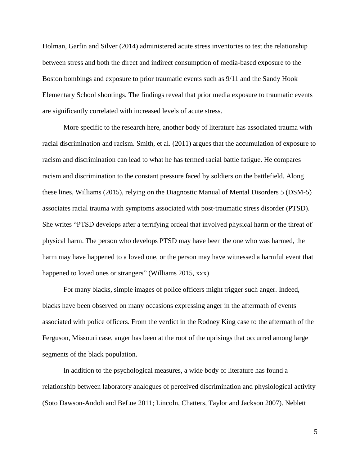Holman, Garfin and Silver (2014) administered acute stress inventories to test the relationship between stress and both the direct and indirect consumption of media-based exposure to the Boston bombings and exposure to prior traumatic events such as 9/11 and the Sandy Hook Elementary School shootings. The findings reveal that prior media exposure to traumatic events are significantly correlated with increased levels of acute stress.

More specific to the research here, another body of literature has associated trauma with racial discrimination and racism. Smith, et al. (2011) argues that the accumulation of exposure to racism and discrimination can lead to what he has termed racial battle fatigue. He compares racism and discrimination to the constant pressure faced by soldiers on the battlefield. Along these lines, Williams (2015), relying on the Diagnostic Manual of Mental Disorders 5 (DSM-5) associates racial trauma with symptoms associated with post-traumatic stress disorder (PTSD). She writes "PTSD develops after a terrifying ordeal that involved physical harm or the threat of physical harm. The person who develops PTSD may have been the one who was harmed, the harm may have happened to a loved one, or the person may have witnessed a harmful event that happened to loved ones or strangers" (Williams 2015, xxx)

For many blacks, simple images of police officers might trigger such anger. Indeed, blacks have been observed on many occasions expressing anger in the aftermath of events associated with police officers. From the verdict in the Rodney King case to the aftermath of the Ferguson, Missouri case, anger has been at the root of the uprisings that occurred among large segments of the black population.

In addition to the psychological measures, a wide body of literature has found a relationship between laboratory analogues of perceived discrimination and physiological activity (Soto Dawson-Andoh and BeLue 2011; Lincoln, Chatters, Taylor and Jackson 2007). Neblett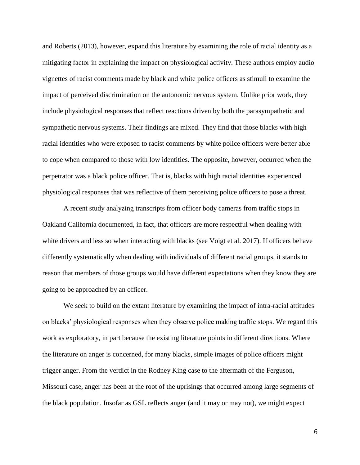and Roberts (2013), however, expand this literature by examining the role of racial identity as a mitigating factor in explaining the impact on physiological activity. These authors employ audio vignettes of racist comments made by black and white police officers as stimuli to examine the impact of perceived discrimination on the autonomic nervous system. Unlike prior work, they include physiological responses that reflect reactions driven by both the parasympathetic and sympathetic nervous systems. Their findings are mixed. They find that those blacks with high racial identities who were exposed to racist comments by white police officers were better able to cope when compared to those with low identities. The opposite, however, occurred when the perpetrator was a black police officer. That is, blacks with high racial identities experienced physiological responses that was reflective of them perceiving police officers to pose a threat.

A recent study analyzing transcripts from officer body cameras from traffic stops in Oakland California documented, in fact, that officers are more respectful when dealing with white drivers and less so when interacting with blacks (see Voigt et al. 2017). If officers behave differently systematically when dealing with individuals of different racial groups, it stands to reason that members of those groups would have different expectations when they know they are going to be approached by an officer.

We seek to build on the extant literature by examining the impact of intra-racial attitudes on blacks' physiological responses when they observe police making traffic stops. We regard this work as exploratory, in part because the existing literature points in different directions. Where the literature on anger is concerned, for many blacks, simple images of police officers might trigger anger. From the verdict in the Rodney King case to the aftermath of the Ferguson, Missouri case, anger has been at the root of the uprisings that occurred among large segments of the black population. Insofar as GSL reflects anger (and it may or may not), we might expect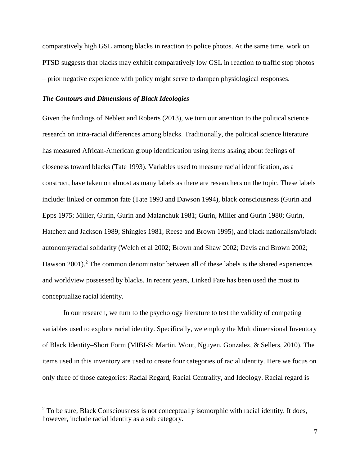comparatively high GSL among blacks in reaction to police photos. At the same time, work on PTSD suggests that blacks may exhibit comparatively low GSL in reaction to traffic stop photos – prior negative experience with policy might serve to dampen physiological responses.

## *The Contours and Dimensions of Black Ideologies*

 $\overline{a}$ 

Given the findings of Neblett and Roberts (2013), we turn our attention to the political science research on intra-racial differences among blacks. Traditionally, the political science literature has measured African-American group identification using items asking about feelings of closeness toward blacks (Tate 1993). Variables used to measure racial identification, as a construct, have taken on almost as many labels as there are researchers on the topic. These labels include: linked or common fate (Tate 1993 and Dawson 1994), black consciousness (Gurin and Epps 1975; Miller, Gurin, Gurin and Malanchuk 1981; Gurin, Miller and Gurin 1980; Gurin, Hatchett and Jackson 1989; Shingles 1981; Reese and Brown 1995), and black nationalism/black autonomy/racial solidarity (Welch et al 2002; Brown and Shaw 2002; Davis and Brown 2002; Dawson  $2001$ <sup>2</sup>. The common denominator between all of these labels is the shared experiences and worldview possessed by blacks. In recent years, Linked Fate has been used the most to conceptualize racial identity.

In our research, we turn to the psychology literature to test the validity of competing variables used to explore racial identity. Specifically, we employ the Multidimensional Inventory of Black Identity–Short Form (MIBI-S; Martin, Wout, Nguyen, Gonzalez, & Sellers, 2010). The items used in this inventory are used to create four categories of racial identity. Here we focus on only three of those categories: Racial Regard, Racial Centrality, and Ideology. Racial regard is

 $2$  To be sure, Black Consciousness is not conceptually isomorphic with racial identity. It does, however, include racial identity as a sub category.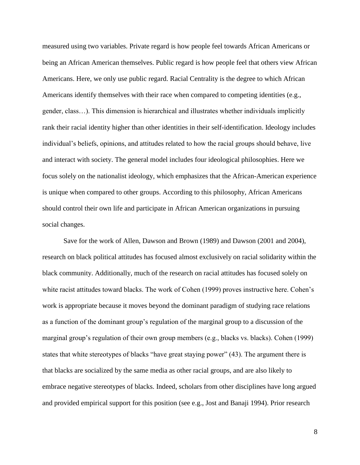measured using two variables. Private regard is how people feel towards African Americans or being an African American themselves. Public regard is how people feel that others view African Americans. Here, we only use public regard. Racial Centrality is the degree to which African Americans identify themselves with their race when compared to competing identities (e.g., gender, class…). This dimension is hierarchical and illustrates whether individuals implicitly rank their racial identity higher than other identities in their self-identification. Ideology includes individual's beliefs, opinions, and attitudes related to how the racial groups should behave, live and interact with society. The general model includes four ideological philosophies. Here we focus solely on the nationalist ideology, which emphasizes that the African-American experience is unique when compared to other groups. According to this philosophy, African Americans should control their own life and participate in African American organizations in pursuing social changes.

Save for the work of Allen, Dawson and Brown (1989) and Dawson (2001 and 2004), research on black political attitudes has focused almost exclusively on racial solidarity within the black community. Additionally, much of the research on racial attitudes has focused solely on white racist attitudes toward blacks. The work of Cohen (1999) proves instructive here. Cohen's work is appropriate because it moves beyond the dominant paradigm of studying race relations as a function of the dominant group's regulation of the marginal group to a discussion of the marginal group's regulation of their own group members (e.g., blacks vs. blacks). Cohen (1999) states that white stereotypes of blacks "have great staying power" (43). The argument there is that blacks are socialized by the same media as other racial groups, and are also likely to embrace negative stereotypes of blacks. Indeed, scholars from other disciplines have long argued and provided empirical support for this position (see e.g., Jost and Banaji 1994). Prior research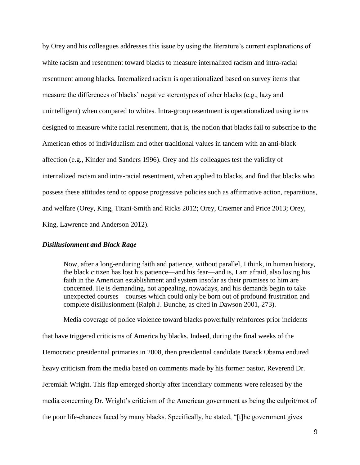by Orey and his colleagues addresses this issue by using the literature's current explanations of white racism and resentment toward blacks to measure internalized racism and intra-racial resentment among blacks. Internalized racism is operationalized based on survey items that measure the differences of blacks' negative stereotypes of other blacks (e.g., lazy and unintelligent) when compared to whites. Intra-group resentment is operationalized using items designed to measure white racial resentment, that is, the notion that blacks fail to subscribe to the American ethos of individualism and other traditional values in tandem with an anti-black affection (e.g., Kinder and Sanders 1996). Orey and his colleagues test the validity of internalized racism and intra-racial resentment, when applied to blacks, and find that blacks who possess these attitudes tend to oppose progressive policies such as affirmative action, reparations, and welfare (Orey, King, Titani-Smith and Ricks 2012; Orey, Craemer and Price 2013; Orey, King, Lawrence and Anderson 2012).

# *Disillusionment and Black Rage*

Now, after a long-enduring faith and patience, without parallel, I think, in human history, the black citizen has lost his patience—and his fear—and is, I am afraid, also losing his faith in the American establishment and system insofar as their promises to him are concerned. He is demanding, not appealing, nowadays, and his demands begin to take unexpected courses—courses which could only be born out of profound frustration and complete disillusionment (Ralph J. Bunche, as cited in Dawson 2001, 273).

Media coverage of police violence toward blacks powerfully reinforces prior incidents that have triggered criticisms of America by blacks. Indeed, during the final weeks of the Democratic presidential primaries in 2008, then presidential candidate Barack Obama endured heavy criticism from the media based on comments made by his former pastor, Reverend Dr. Jeremiah Wright. This flap emerged shortly after incendiary comments were released by the media concerning Dr. Wright's criticism of the American government as being the culprit/root of the poor life-chances faced by many blacks. Specifically, he stated, "[t]he government gives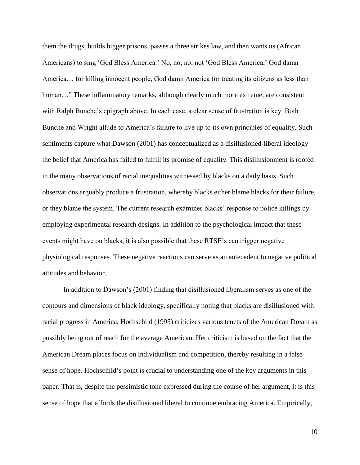them the drugs, builds bigger prisons, passes a three strikes law, and then wants us (African Americans) to sing 'God Bless America.' No, no, no; not 'God Bless America,' God damn America… for killing innocent people; God damn America for treating its citizens as less than human..." These inflammatory remarks, although clearly much more extreme, are consistent with Ralph Bunche's epigraph above. In each case, a clear sense of frustration is key. Both Bunche and Wright allude to America's failure to live up to its own principles of equality. Such sentiments capture what Dawson (2001) has conceptualized as a disillusioned-liberal ideology the belief that America has failed to fulfill its promise of equality. This disillusionment is rooted in the many observations of racial inequalities witnessed by blacks on a daily basis. Such observations arguably produce a frustration, whereby blacks either blame blacks for their failure, or they blame the system. The current research examines blacks' response to police killings by employing experimental research designs. In addition to the psychological impact that these events might have on blacks, it is also possible that these RTSE's can trigger negative physiological responses. These negative reactions can serve as an antecedent to negative political attitudes and behavior.

In addition to Dawson's (2001) finding that disillusioned liberalism serves as one of the contours and dimensions of black ideology, specifically noting that blacks are disillusioned with racial progress in America, Hochschild (1995) criticizes various tenets of the American Dream as possibly being out of reach for the average American. Her criticism is based on the fact that the American Dream places focus on individualism and competition, thereby resulting in a false sense of hope. Hochschild's point is crucial to understanding one of the key arguments in this paper. That is, despite the pessimistic tone expressed during the course of her argument, it is this sense of hope that affords the disillusioned liberal to continue embracing America. Empirically,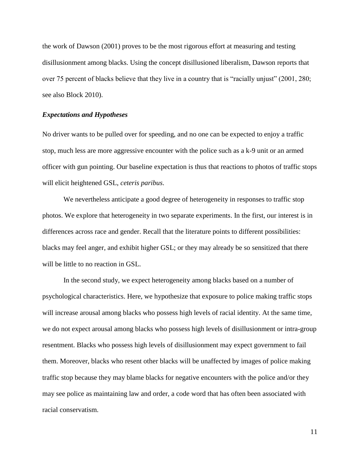the work of Dawson (2001) proves to be the most rigorous effort at measuring and testing disillusionment among blacks. Using the concept disillusioned liberalism, Dawson reports that over 75 percent of blacks believe that they live in a country that is "racially unjust" (2001, 280; see also Block 2010).

#### *Expectations and Hypotheses*

No driver wants to be pulled over for speeding, and no one can be expected to enjoy a traffic stop, much less are more aggressive encounter with the police such as a k-9 unit or an armed officer with gun pointing. Our baseline expectation is thus that reactions to photos of traffic stops will elicit heightened GSL, *ceteris paribus*.

We nevertheless anticipate a good degree of heterogeneity in responses to traffic stop photos. We explore that heterogeneity in two separate experiments. In the first, our interest is in differences across race and gender. Recall that the literature points to different possibilities: blacks may feel anger, and exhibit higher GSL; or they may already be so sensitized that there will be little to no reaction in GSL.

In the second study, we expect heterogeneity among blacks based on a number of psychological characteristics. Here, we hypothesize that exposure to police making traffic stops will increase arousal among blacks who possess high levels of racial identity. At the same time, we do not expect arousal among blacks who possess high levels of disillusionment or intra-group resentment. Blacks who possess high levels of disillusionment may expect government to fail them. Moreover, blacks who resent other blacks will be unaffected by images of police making traffic stop because they may blame blacks for negative encounters with the police and/or they may see police as maintaining law and order, a code word that has often been associated with racial conservatism.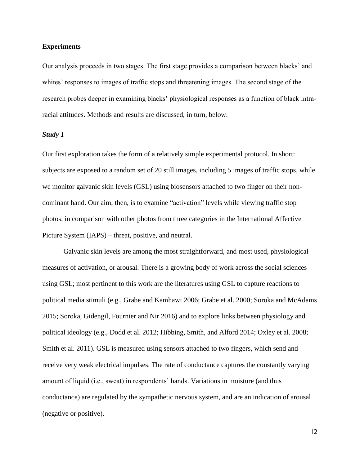### **Experiments**

Our analysis proceeds in two stages. The first stage provides a comparison between blacks' and whites' responses to images of traffic stops and threatening images. The second stage of the research probes deeper in examining blacks' physiological responses as a function of black intraracial attitudes. Methods and results are discussed, in turn, below.

#### *Study 1*

Our first exploration takes the form of a relatively simple experimental protocol. In short: subjects are exposed to a random set of 20 still images, including 5 images of traffic stops, while we monitor galvanic skin levels (GSL) using biosensors attached to two finger on their nondominant hand. Our aim, then, is to examine "activation" levels while viewing traffic stop photos, in comparison with other photos from three categories in the International Affective Picture System (IAPS) – threat, positive, and neutral.

Galvanic skin levels are among the most straightforward, and most used, physiological measures of activation, or arousal. There is a growing body of work across the social sciences using GSL; most pertinent to this work are the literatures using GSL to capture reactions to political media stimuli (e.g., Grabe and Kamhawi 2006; Grabe et al. 2000; Soroka and McAdams 2015; Soroka, Gidengil, Fournier and Nir 2016) and to explore links between physiology and political ideology (e.g., Dodd et al. 2012; Hibbing, Smith, and Alford 2014; Oxley et al. 2008; Smith et al. 2011). GSL is measured using sensors attached to two fingers, which send and receive very weak electrical impulses. The rate of conductance captures the constantly varying amount of liquid (i.e., sweat) in respondents' hands. Variations in moisture (and thus conductance) are regulated by the sympathetic nervous system, and are an indication of arousal (negative or positive).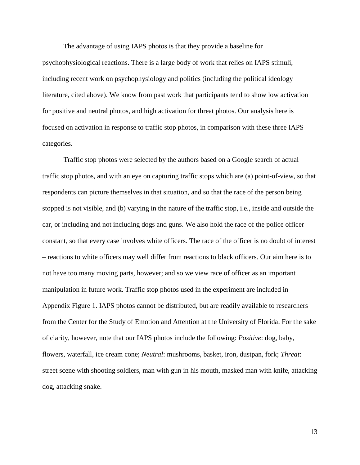The advantage of using IAPS photos is that they provide a baseline for psychophysiological reactions. There is a large body of work that relies on IAPS stimuli, including recent work on psychophysiology and politics (including the political ideology literature, cited above). We know from past work that participants tend to show low activation for positive and neutral photos, and high activation for threat photos. Our analysis here is focused on activation in response to traffic stop photos, in comparison with these three IAPS categories.

Traffic stop photos were selected by the authors based on a Google search of actual traffic stop photos, and with an eye on capturing traffic stops which are (a) point-of-view, so that respondents can picture themselves in that situation, and so that the race of the person being stopped is not visible, and (b) varying in the nature of the traffic stop, i.e., inside and outside the car, or including and not including dogs and guns. We also hold the race of the police officer constant, so that every case involves white officers. The race of the officer is no doubt of interest – reactions to white officers may well differ from reactions to black officers. Our aim here is to not have too many moving parts, however; and so we view race of officer as an important manipulation in future work. Traffic stop photos used in the experiment are included in Appendix Figure 1. IAPS photos cannot be distributed, but are readily available to researchers from the Center for the Study of Emotion and Attention at the University of Florida. For the sake of clarity, however, note that our IAPS photos include the following: *Positive*: dog, baby, flowers, waterfall, ice cream cone; *Neutral*: mushrooms, basket, iron, dustpan, fork; *Threat*: street scene with shooting soldiers, man with gun in his mouth, masked man with knife, attacking dog, attacking snake.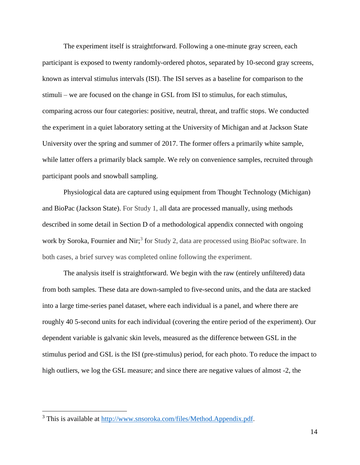The experiment itself is straightforward. Following a one-minute gray screen, each participant is exposed to twenty randomly-ordered photos, separated by 10-second gray screens, known as interval stimulus intervals (ISI). The ISI serves as a baseline for comparison to the stimuli – we are focused on the change in GSL from ISI to stimulus, for each stimulus, comparing across our four categories: positive, neutral, threat, and traffic stops. We conducted the experiment in a quiet laboratory setting at the University of Michigan and at Jackson State University over the spring and summer of 2017. The former offers a primarily white sample, while latter offers a primarily black sample. We rely on convenience samples, recruited through participant pools and snowball sampling.

Physiological data are captured using equipment from Thought Technology (Michigan) and BioPac (Jackson State). For Study 1, all data are processed manually, using methods described in some detail in Section D of a methodological appendix connected with ongoing work by Soroka, Fournier and Nir;<sup>3</sup> for Study 2, data are processed using BioPac software. In both cases, a brief survey was completed online following the experiment.

The analysis itself is straightforward. We begin with the raw (entirely unfiltered) data from both samples. These data are down-sampled to five-second units, and the data are stacked into a large time-series panel dataset, where each individual is a panel, and where there are roughly 40 5-second units for each individual (covering the entire period of the experiment). Our dependent variable is galvanic skin levels, measured as the difference between GSL in the stimulus period and GSL is the ISI (pre-stimulus) period, for each photo. To reduce the impact to high outliers, we log the GSL measure; and since there are negative values of almost -2, the

 $\overline{a}$ 

<sup>3</sup> This is available at [http://www.snsoroka.com/files/Method.Appendix.pdf.](http://www.snsoroka.com/files/Method.Appendix.pdf)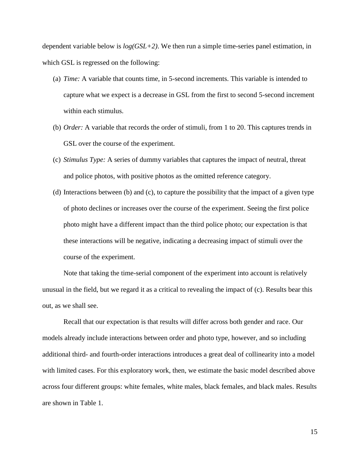dependent variable below is *log(GSL+2)*. We then run a simple time-series panel estimation, in which GSL is regressed on the following:

- (a) *Time:* A variable that counts time, in 5-second increments. This variable is intended to capture what we expect is a decrease in GSL from the first to second 5-second increment within each stimulus.
- (b) *Order:* A variable that records the order of stimuli, from 1 to 20. This captures trends in GSL over the course of the experiment.
- (c) *Stimulus Type:* A series of dummy variables that captures the impact of neutral, threat and police photos, with positive photos as the omitted reference category.
- (d) Interactions between (b) and (c), to capture the possibility that the impact of a given type of photo declines or increases over the course of the experiment. Seeing the first police photo might have a different impact than the third police photo; our expectation is that these interactions will be negative, indicating a decreasing impact of stimuli over the course of the experiment.

Note that taking the time-serial component of the experiment into account is relatively unusual in the field, but we regard it as a critical to revealing the impact of (c). Results bear this out, as we shall see.

Recall that our expectation is that results will differ across both gender and race. Our models already include interactions between order and photo type, however, and so including additional third- and fourth-order interactions introduces a great deal of collinearity into a model with limited cases. For this exploratory work, then, we estimate the basic model described above across four different groups: white females, white males, black females, and black males. Results are shown in Table 1.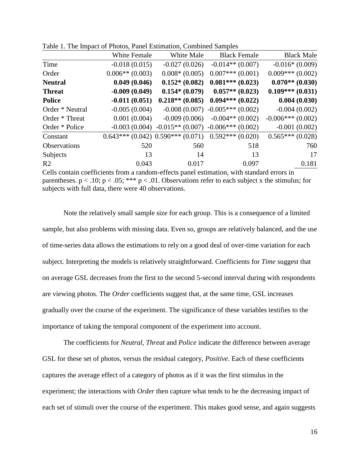|                     | White Female      | White Male        | <b>Black Female</b>                                      | <b>Black Male</b>  |
|---------------------|-------------------|-------------------|----------------------------------------------------------|--------------------|
| Time                | $-0.018(0.015)$   | $-0.027(0.026)$   | $-0.014**$ (0.007)                                       | $-0.016*(0.009)$   |
| Order               | $0.006**$ (0.003) | $0.008*(0.005)$   | $0.007***(0.001)$                                        | $0.009***(0.002)$  |
| <b>Neutral</b>      | 0.049(0.046)      | $0.152*(0.082)$   | $0.081***(0.023)$                                        | $0.070**$ (0.030)  |
| <b>Threat</b>       | $-0.009(0.049)$   | $0.154*(0.079)$   | $0.057**(0.023)$                                         | $0.109***(0.031)$  |
| <b>Police</b>       | $-0.011(0.051)$   | $0.218**$ (0.085) | $0.094***(0.022)$                                        | 0.004(0.030)       |
| Order * Neutral     | $-0.005(0.004)$   |                   | $-0.008(0.007) -0.005***(0.002)$                         | $-0.004(0.002)$    |
| Order * Threat      | 0.001(0.004)      | $-0.009(0.006)$   | $-0.004**$ (0.002)                                       | $-0.006***(0.002)$ |
| Order * Police      | $-0.003(0.004)$   |                   | $-0.015**$ (0.007) $-0.006***$ (0.002)                   | $-0.001(0.002)$    |
| Constant            |                   |                   | $0.643***$ (0.042) $0.590***$ (0.071) $0.592***$ (0.020) | $0.565***(0.028)$  |
| <b>Observations</b> | 520               | 560               | 518                                                      | 760                |
| Subjects            | 13                | 14                | 13                                                       | 17                 |
| R <sub>2</sub>      | 0.043             | 0.017             | 0.097                                                    | 0.181              |
|                     |                   |                   |                                                          |                    |

Table 1. The Impact of Photos, Panel Estimation, Combined Samples

Cells contain coefficients from a random-effects panel estimation, with standard errors in parentheses.  $p < .10$ ;  $p < .05$ ; \*\*\*  $p < .01$ . Observations refer to each subject x the stimulus; for subjects with full data, there were 40 observations.

Note the relatively small sample size for each group. This is a consequence of a limited sample, but also problems with missing data. Even so, groups are relatively balanced, and the use of time-series data allows the estimations to rely on a good deal of over-time variation for each subject. Interpreting the models is relatively straightforward. Coefficients for *Time* suggest that on average GSL decreases from the first to the second 5-second interval during with respondents are viewing photos. The *Order* coefficients suggest that, at the same time, GSL increases gradually over the course of the experiment. The significance of these variables testifies to the importance of taking the temporal component of the experiment into account.

The coefficients for *Neutral*, *Threat* and *Police* indicate the difference between average GSL for these set of photos, versus the residual category, *Positive*. Each of these coefficients captures the average effect of a category of photos as if it was the first stimulus in the experiment; the interactions with *Order* then capture what tends to be the decreasing impact of each set of stimuli over the course of the experiment. This makes good sense, and again suggests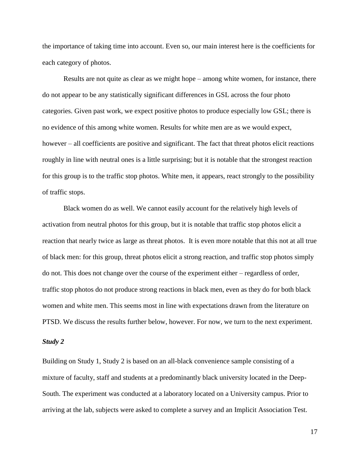the importance of taking time into account. Even so, our main interest here is the coefficients for each category of photos.

Results are not quite as clear as we might hope – among white women, for instance, there do not appear to be any statistically significant differences in GSL across the four photo categories. Given past work, we expect positive photos to produce especially low GSL; there is no evidence of this among white women. Results for white men are as we would expect, however – all coefficients are positive and significant. The fact that threat photos elicit reactions roughly in line with neutral ones is a little surprising; but it is notable that the strongest reaction for this group is to the traffic stop photos. White men, it appears, react strongly to the possibility of traffic stops.

Black women do as well. We cannot easily account for the relatively high levels of activation from neutral photos for this group, but it is notable that traffic stop photos elicit a reaction that nearly twice as large as threat photos. It is even more notable that this not at all true of black men: for this group, threat photos elicit a strong reaction, and traffic stop photos simply do not. This does not change over the course of the experiment either – regardless of order, traffic stop photos do not produce strong reactions in black men, even as they do for both black women and white men. This seems most in line with expectations drawn from the literature on PTSD. We discuss the results further below, however. For now, we turn to the next experiment.

#### *Study 2*

Building on Study 1, Study 2 is based on an all-black convenience sample consisting of a mixture of faculty, staff and students at a predominantly black university located in the Deep-South. The experiment was conducted at a laboratory located on a University campus. Prior to arriving at the lab, subjects were asked to complete a survey and an Implicit Association Test.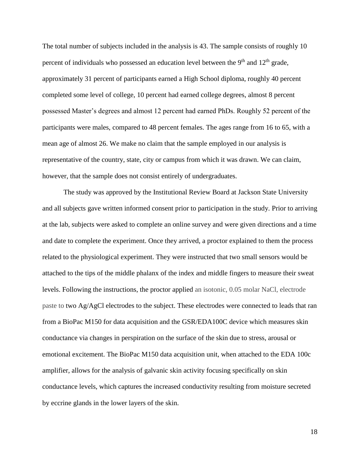The total number of subjects included in the analysis is 43. The sample consists of roughly 10 percent of individuals who possessed an education level between the  $9<sup>th</sup>$  and  $12<sup>th</sup>$  grade, approximately 31 percent of participants earned a High School diploma, roughly 40 percent completed some level of college, 10 percent had earned college degrees, almost 8 percent possessed Master's degrees and almost 12 percent had earned PhDs. Roughly 52 percent of the participants were males, compared to 48 percent females. The ages range from 16 to 65, with a mean age of almost 26. We make no claim that the sample employed in our analysis is representative of the country, state, city or campus from which it was drawn. We can claim, however, that the sample does not consist entirely of undergraduates.

The study was approved by the Institutional Review Board at Jackson State University and all subjects gave written informed consent prior to participation in the study. Prior to arriving at the lab, subjects were asked to complete an online survey and were given directions and a time and date to complete the experiment. Once they arrived, a proctor explained to them the process related to the physiological experiment. They were instructed that two small sensors would be attached to the tips of the middle phalanx of the index and middle fingers to measure their sweat levels. Following the instructions, the proctor applied an isotonic, 0.05 molar NaCl, electrode paste to two Ag/AgCl electrodes to the subject. These electrodes were connected to leads that ran from a BioPac M150 for data acquisition and the GSR/EDA100C device which measures skin conductance via changes in perspiration on the surface of the skin due to stress, arousal or emotional excitement. The BioPac M150 data acquisition unit, when attached to the EDA 100c amplifier, allows for the analysis of galvanic skin activity focusing specifically on skin conductance levels, which captures the increased conductivity resulting from moisture secreted by eccrine glands in the lower layers of the skin.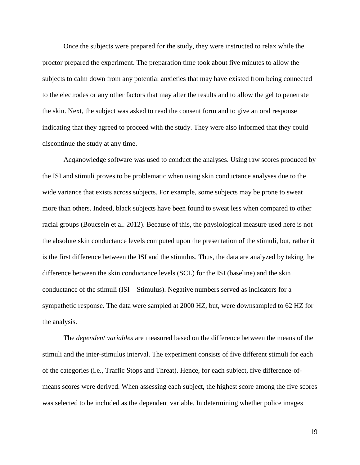Once the subjects were prepared for the study, they were instructed to relax while the proctor prepared the experiment. The preparation time took about five minutes to allow the subjects to calm down from any potential anxieties that may have existed from being connected to the electrodes or any other factors that may alter the results and to allow the gel to penetrate the skin. Next, the subject was asked to read the consent form and to give an oral response indicating that they agreed to proceed with the study. They were also informed that they could discontinue the study at any time.

Acqknowledge software was used to conduct the analyses. Using raw scores produced by the ISI and stimuli proves to be problematic when using skin conductance analyses due to the wide variance that exists across subjects. For example, some subjects may be prone to sweat more than others. Indeed, black subjects have been found to sweat less when compared to other racial groups (Boucsein et al. 2012). Because of this, the physiological measure used here is not the absolute skin conductance levels computed upon the presentation of the stimuli, but, rather it is the first difference between the ISI and the stimulus. Thus, the data are analyzed by taking the difference between the skin conductance levels (SCL) for the ISI (baseline) and the skin conductance of the stimuli (ISI – Stimulus). Negative numbers served as indicators for a sympathetic response. The data were sampled at 2000 HZ, but, were downsampled to 62 HZ for the analysis.

The *dependent variables* are measured based on the difference between the means of the stimuli and the inter-stimulus interval. The experiment consists of five different stimuli for each of the categories (i.e., Traffic Stops and Threat). Hence, for each subject, five difference-ofmeans scores were derived. When assessing each subject, the highest score among the five scores was selected to be included as the dependent variable. In determining whether police images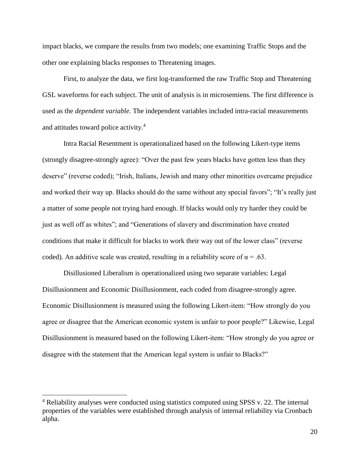impact blacks, we compare the results from two models; one examining Traffic Stops and the other one explaining blacks responses to Threatening images.

First, to analyze the data, we first log-transformed the raw Traffic Stop and Threatening GSL waveforms for each subject. The unit of analysis is in microsemiens. The first difference is used as the *dependent variable.* The independent variables included intra-racial measurements and attitudes toward police activity.<sup>4</sup>

Intra Racial Resentment is operationalized based on the following Likert-type items (strongly disagree-strongly agree): "Over the past few years blacks have gotten less than they deserve" (reverse coded); "Irish, Italians, Jewish and many other minorities overcame prejudice and worked their way up. Blacks should do the same without any special favors"; "It's really just a matter of some people not trying hard enough. If blacks would only try harder they could be just as well off as whites"; and "Generations of slavery and discrimination have created conditions that make it difficult for blacks to work their way out of the lower class" (reverse coded). An additive scale was created, resulting in a reliability score of  $\alpha = .63$ .

Disillusioned Liberalism is operationalized using two separate variables: Legal Disillusionment and Economic Disillusionment, each coded from disagree-strongly agree. Economic Disillusionment is measured using the following Likert-item: "How strongly do you agree or disagree that the American economic system is unfair to poor people?" Likewise, Legal Disillusionment is measured based on the following Likert-item: "How strongly do you agree or disagree with the statement that the American legal system is unfair to Blacks?"

 $\overline{a}$ 

 $4$  Reliability analyses were conducted using statistics computed using SPSS v. 22. The internal properties of the variables were established through analysis of internal reliability via Cronbach alpha.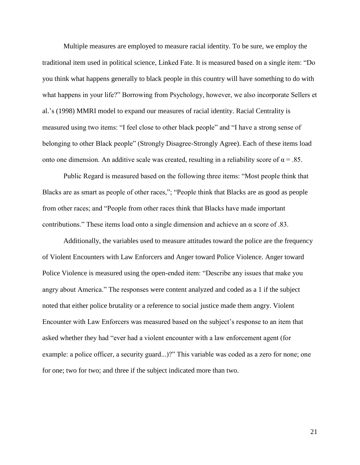Multiple measures are employed to measure racial identity. To be sure, we employ the traditional item used in political science, Linked Fate. It is measured based on a single item: "Do you think what happens generally to black people in this country will have something to do with what happens in your life?" Borrowing from Psychology, however, we also incorporate Sellers et al.'s (1998) MMRI model to expand our measures of racial identity. Racial Centrality is measured using two items: "I feel close to other black people" and "I have a strong sense of belonging to other Black people" (Strongly Disagree-Strongly Agree). Each of these items load onto one dimension. An additive scale was created, resulting in a reliability score of  $\alpha = .85$ .

Public Regard is measured based on the following three items: "Most people think that Blacks are as smart as people of other races,"; "People think that Blacks are as good as people from other races; and "People from other races think that Blacks have made important contributions." These items load onto a single dimension and achieve an  $\alpha$  score of .83.

Additionally, the variables used to measure attitudes toward the police are the frequency of Violent Encounters with Law Enforcers and Anger toward Police Violence. Anger toward Police Violence is measured using the open-ended item: "Describe any issues that make you angry about America." The responses were content analyzed and coded as a 1 if the subject noted that either police brutality or a reference to social justice made them angry. Violent Encounter with Law Enforcers was measured based on the subject's response to an item that asked whether they had "ever had a violent encounter with a law enforcement agent (for example: a police officer, a security guard...)?" This variable was coded as a zero for none; one for one; two for two; and three if the subject indicated more than two.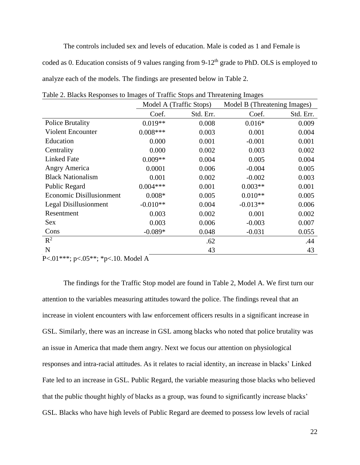The controls included sex and levels of education. Male is coded as 1 and Female is coded as 0. Education consists of 9 values ranging from 9-12<sup>th</sup> grade to PhD. OLS is employed to analyze each of the models. The findings are presented below in Table 2.

|                                                                                    |            | Model A (Traffic Stops) | Model B (Threatening Images) |           |
|------------------------------------------------------------------------------------|------------|-------------------------|------------------------------|-----------|
|                                                                                    | Coef.      | Std. Err.               | Coef.                        | Std. Err. |
| <b>Police Brutality</b>                                                            | $0.019**$  | 0.008                   | $0.016*$                     | 0.009     |
| <b>Violent Encounter</b>                                                           | $0.008***$ | 0.003                   | 0.001                        | 0.004     |
| Education                                                                          | 0.000      | 0.001                   | $-0.001$                     | 0.001     |
| Centrality                                                                         | 0.000      | 0.002                   | 0.003                        | 0.002     |
| <b>Linked Fate</b>                                                                 | $0.009**$  | 0.004                   | 0.005                        | 0.004     |
| <b>Angry America</b>                                                               | 0.0001     | 0.006                   | $-0.004$                     | 0.005     |
| <b>Black Nationalism</b>                                                           | 0.001      | 0.002                   | $-0.002$                     | 0.003     |
| Public Regard                                                                      | $0.004***$ | 0.001                   | $0.003**$                    | 0.001     |
| Economic Disillusionment                                                           | $0.008*$   | 0.005                   | $0.010**$                    | 0.005     |
| <b>Legal Disillusionment</b>                                                       | $-0.010**$ | 0.004                   | $-0.013**$                   | 0.006     |
| Resentment                                                                         | 0.003      | 0.002                   | 0.001                        | 0.002     |
| Sex                                                                                | 0.003      | 0.006                   | $-0.003$                     | 0.007     |
| Cons                                                                               | $-0.089*$  | 0.048                   | $-0.031$                     | 0.055     |
| $R^2$                                                                              |            | .62                     |                              | .44       |
| $\mathbf N$<br>$\alpha = 0.00$<br>$\sim$ $\sim$ $\sim$ $\sim$ $\sim$ $\sim$ $\sim$ |            | 43                      |                              | 43        |

Table 2. Blacks Responses to Images of Traffic Stops and Threatening Images

P<.01\*\*\*; p<.05\*\*; \*p<.10. Model A

The findings for the Traffic Stop model are found in Table 2, Model A. We first turn our attention to the variables measuring attitudes toward the police. The findings reveal that an increase in violent encounters with law enforcement officers results in a significant increase in GSL. Similarly, there was an increase in GSL among blacks who noted that police brutality was an issue in America that made them angry. Next we focus our attention on physiological responses and intra-racial attitudes. As it relates to racial identity, an increase in blacks' Linked Fate led to an increase in GSL. Public Regard, the variable measuring those blacks who believed that the public thought highly of blacks as a group, was found to significantly increase blacks' GSL. Blacks who have high levels of Public Regard are deemed to possess low levels of racial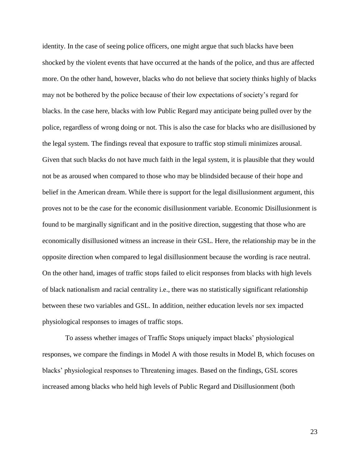identity. In the case of seeing police officers, one might argue that such blacks have been shocked by the violent events that have occurred at the hands of the police, and thus are affected more. On the other hand, however, blacks who do not believe that society thinks highly of blacks may not be bothered by the police because of their low expectations of society's regard for blacks. In the case here, blacks with low Public Regard may anticipate being pulled over by the police, regardless of wrong doing or not. This is also the case for blacks who are disillusioned by the legal system. The findings reveal that exposure to traffic stop stimuli minimizes arousal. Given that such blacks do not have much faith in the legal system, it is plausible that they would not be as aroused when compared to those who may be blindsided because of their hope and belief in the American dream. While there is support for the legal disillusionment argument, this proves not to be the case for the economic disillusionment variable. Economic Disillusionment is found to be marginally significant and in the positive direction, suggesting that those who are economically disillusioned witness an increase in their GSL. Here, the relationship may be in the opposite direction when compared to legal disillusionment because the wording is race neutral. On the other hand, images of traffic stops failed to elicit responses from blacks with high levels of black nationalism and racial centrality i.e., there was no statistically significant relationship between these two variables and GSL. In addition, neither education levels nor sex impacted physiological responses to images of traffic stops.

To assess whether images of Traffic Stops uniquely impact blacks' physiological responses, we compare the findings in Model A with those results in Model B, which focuses on blacks' physiological responses to Threatening images. Based on the findings, GSL scores increased among blacks who held high levels of Public Regard and Disillusionment (both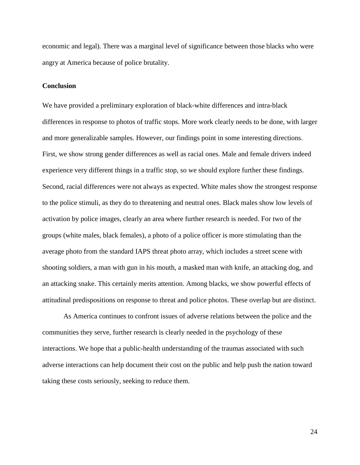economic and legal). There was a marginal level of significance between those blacks who were angry at America because of police brutality.

#### **Conclusion**

We have provided a preliminary exploration of black-white differences and intra-black differences in response to photos of traffic stops. More work clearly needs to be done, with larger and more generalizable samples. However, our findings point in some interesting directions. First, we show strong gender differences as well as racial ones. Male and female drivers indeed experience very different things in a traffic stop, so we should explore further these findings. Second, racial differences were not always as expected. White males show the strongest response to the police stimuli, as they do to threatening and neutral ones. Black males show low levels of activation by police images, clearly an area where further research is needed. For two of the groups (white males, black females), a photo of a police officer is more stimulating than the average photo from the standard IAPS threat photo array, which includes a street scene with shooting soldiers, a man with gun in his mouth, a masked man with knife, an attacking dog, and an attacking snake. This certainly merits attention. Among blacks, we show powerful effects of attitudinal predispositions on response to threat and police photos. These overlap but are distinct.

As America continues to confront issues of adverse relations between the police and the communities they serve, further research is clearly needed in the psychology of these interactions. We hope that a public-health understanding of the traumas associated with such adverse interactions can help document their cost on the public and help push the nation toward taking these costs seriously, seeking to reduce them.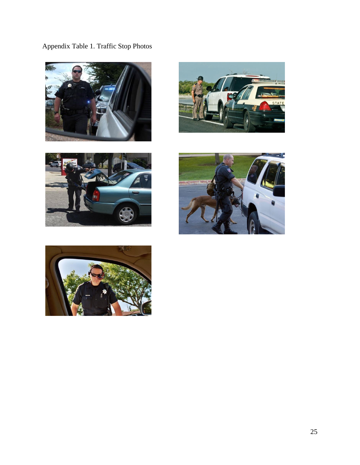Appendix Table 1. Traffic Stop Photos









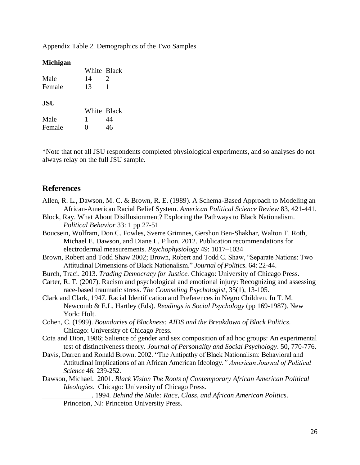Appendix Table 2. Demographics of the Two Samples

# **Michigan**

|            | White Black |                       |
|------------|-------------|-----------------------|
| Male       | 14          | $\mathcal{D}_{\cdot}$ |
| Female     | 13          |                       |
| <b>JSU</b> |             |                       |
|            |             | White Black           |
| Male       | 1           | 44                    |
| Female     |             | 46                    |

\*Note that not all JSU respondents completed physiological experiments, and so analyses do not always relay on the full JSU sample.

# **References**

- Allen, R. L., Dawson, M. C. & Brown, R. E. (1989). A Schema-Based Approach to Modeling an African-American Racial Belief System. *American Political Science Review* 83, 421-441.
- Block, Ray. What About Disillusionment? Exploring the Pathways to Black Nationalism. *Political Behavior* 33: 1 pp 27-51
- Boucsein, Wolfram, Don C. Fowles, Sverre Grimnes, Gershon Ben-Shakhar, Walton T. Roth, Michael E. Dawson, and Diane L. Filion. 2012. Publication recommendations for electrodermal measurements. *Psychophysiology* 49: 1017–1034
- Brown, Robert and Todd Shaw 2002; Brown, Robert and Todd C. Shaw, "Separate Nations: Two Attitudinal Dimensions of Black Nationalism." *Journal of Politics*. 64: 22-44.
- Burch, Traci. 2013. *Trading Democracy for Justice.* Chicago: University of Chicago Press.
- Carter, R. T. (2007). Racism and psychological and emotional injury: Recognizing and assessing race-based traumatic stress. *The [Counseling](https://www.psychologytoday.com/therapy-types/coaching) Psychologist*, 35(1), 13-105.
- Clark and Clark, 1947. Racial Identification and Preferences in Negro Children. In T. M. Newcomb & E.L. Hartley (Eds). *Readings in Social Psychology* (pp 169-1987). New York: Holt.
- Cohen, C. (1999). *Boundaries of Blackness: AIDS and the Breakdown of Black Politics*. Chicago: University of Chicago Press.
- Cota and Dion, 1986; Salience of gender and sex composition of ad hoc groups: An experimental test of distinctiveness theory. *Journal of Personality and Social Psychology*. 50, 770-776.
- Davis, Darren and Ronald Brown. 2002. "The Antipathy of Black Nationalism: Behavioral and Attitudinal Implications of an African American Ideology*." American Journal of Political Science* 46: 239-252.
- Dawson, Michael. 2001. *Black Vision The Roots of Contemporary African American Political Ideologies*. Chicago: University of Chicago Press.

\_\_\_\_\_\_\_\_\_\_\_\_\_\_. 1994*. Behind the Mule: Race, Class, and African American Politics*. Princeton, NJ: Princeton University Press.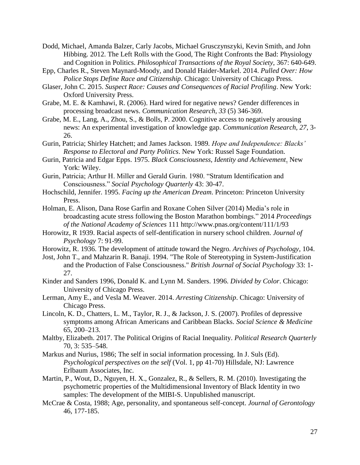- Dodd, Michael, Amanda Balzer, Carly Jacobs, Michael Grusczynszyki, Kevin Smith, and John Hibbing. 2012. The Left Rolls with the Good, The Right Confronts the Bad: Physiology and Cognition in Politics. *Philosophical Transactions of the Royal Society*, 367: 640-649.
- Epp, Charles R., Steven Maynard-Moody, and Donald Haider-Markel. 2014. *Pulled Over: How Police Stops Define Race and Citizenship.* Chicago: University of Chicago Press.
- Glaser, John C. 2015. *Suspect Race: Causes and Consequences of Racial Profiling*. New York: Oxford University Press.
- Grabe, M. E. & Kamhawi, R. (2006). Hard wired for negative news? Gender differences in processing broadcast news. *Communication Research, 33* (5) 346-369.
- Grabe, M. E., Lang, A., Zhou, S., & Bolls, P. 2000. Cognitive access to negatively arousing news: An experimental investigation of knowledge gap. *Communication Research, 27*, 3- 26.
- Gurin, Patricia; Shirley Hatchett; and James Jackson. 1989*. Hope and Independence: Blacks' Response to Electoral and Party Politics*. New York: Russel Sage Foundation.
- Gurin, Patricia and Edgar Epps. 1975. *Black Consciousness, Identity and Achievement*. New York: Wiley.
- Gurin, Patricia; Arthur H. Miller and Gerald Gurin. 1980. "Stratum Identification and Consciousness." *Social Psychology Quarterly* 43: 30-47.
- Hochschild, Jennifer. 1995. *Facing up the American Dream*. Princeton: Princeton University Press.
- Holman, E. Alison, Dana Rose Garfin and Roxane Cohen Silver (2014) Media's role in broadcasting acute stress following the Boston Marathon bombings." 2014 *Proceedings of the National Academy of Sciences* 111 http://www.pnas.org/content/111/1/93
- Horowitz, R 1939. Racial aspects of self-dentification in nursery school children. *Journal of Psychology* 7: 91-99.
- Horowitz, R. 1936. The development of attitude toward the Negro. *Archives of Psychology*, 104.
- Jost, John T., and Mahzarin R. Banaji. 1994. "The Role of Stereotyping in System-Justification and the Production of False Consciousness." *British Journal of Social Psychology* 33: 1- 27.
- Kinder and Sanders 1996, Donald K. and Lynn M. Sanders. 1996. *Divided by Color*. Chicago: University of Chicago Press.
- Lerman, Amy E., and Vesla M. Weaver. 2014. *Arresting Citizenship*. Chicago: University of Chicago Press.
- Lincoln, K. D., Chatters, L. M., Taylor, R. J., & Jackson, J. S. (2007). Profiles of depressive symptoms among African Americans and Caribbean Blacks. *Social Science & Medicine* 65, 200–213.
- Maltby, Elizabeth. 2017. The Political Origins of Racial Inequality. *Political Research Quarterly* 70, 3: 535–548.
- Markus and Nurius, 1986; The self in social information processing. In J. Suls (Ed). *Psychological perspectives on the self* (Vol. 1, pp 41-70) Hillsdale, NJ: Lawrence Erlbaum Associates, Inc.
- Martin, P., Wout, D., Nguyen, H. X., Gonzalez, R., & Sellers, R. M. (2010). Investigating the psychometric properties of the Multidimensional Inventory of Black Identity in two samples: The development of the MIBI-S. Unpublished manuscript.
- McCrae & Costa, 1988; Age, personality, and spontaneous self-concept. *Journal of Gerontology* 46, 177-185.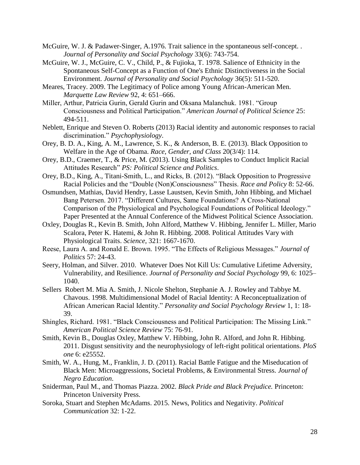- McGuire, W. J. & Padawer-Singer, A.1976. Trait salience in the spontaneous self-concept. . *Journal of Personality and Social Psychology* 33(6): 743-754.
- McGuire, W. J., McGuire, C. V., Child, P., & Fujioka, T. 1978. Salience of Ethnicity in the Spontaneous Self-Concept as a Function of One's Ethnic Distinctiveness in the Social Environment. *Journal of Personality and Social Psychology* 36(5): 511-520.
- Meares, Tracey. 2009. The Legitimacy of Police among Young African-American Men. *Marquette Law Review* 92, 4: 651–666.
- Miller, Arthur, Patricia Gurin, Gerald Gurin and Oksana Malanchuk. 1981. "Group Consciousness and Political Participation." *American Journal of Political Science* 25: 494-511.
- Neblett, Enrique and Steven O. Roberts (2013) Racial identity and autonomic responses to racial discrimination." *Psychophysiology*.
- Orey, B. D. A., King, A. M., Lawrence, S. K., & Anderson, B. E. (2013). Black Opposition to Welfare in the Age of Obama. *Race, Gender, and Class* 20(3/4): 114.
- Orey, B.D., Craemer, T., & Price, M. (2013). Using Black Samples to Conduct Implicit Racial Attitudes Research" *PS: Political Science and Politics*.
- Orey, B.D., King, A., Titani-Smith, L., and Ricks, B. (2012). "Black Opposition to Progressive Racial Policies and the "Double (Non)Consciousness" Thesis. *Race and Policy* 8: 52-66.
- Osmundsen, Mathias, David Hendry, Lasse Laustsen, Kevin Smith, John Hibbing, and Michael Bang Petersen. 2017. "Different Cultures, Same Foundations? A Cross-National Comparison of the Physiological and Psychological Foundations of Political Ideology." Paper Presented at the Annual Conference of the Midwest Political Science Association.
- Oxley, Douglas R., Kevin B. Smith, John Alford, Matthew V. Hibbing, Jennifer L. Miller, Mario Scalora, Peter K. Hatemi, & John R. Hibbing. 2008. Political Attitudes Vary with Physiological Traits. *Science*, 321: 1667-1670.
- Reese, Laura A. and Ronald E. Brown. 1995. "The Effects of Religious Messages." *Journal of Politics* 57: 24-43.
- Seery, Holman, and Silver. 2010. Whatever Does Not Kill Us: Cumulative Lifetime Adversity, Vulnerability, and Resilience. *Journal of Personality and Social Psychology* 99, 6: 1025– 1040.
- Sellers Robert M. Mia A. Smith, J. Nicole Shelton, Stephanie A. J. Rowley and Tabbye M. Chavous. 1998. Multidimensional Model of Racial Identity: A Reconceptualization of African American Racial Identity." *Personality and Social Psychology Review* 1, 1: 18- 39.
- Shingles, Richard. 1981. "Black Consciousness and Political Participation: The Missing Link." *American Political Science Review* 75: 76-91.
- Smith, Kevin B., Douglas Oxley, Matthew V. Hibbing, John R. Alford, and John R. Hibbing. 2011. Disgust sensitivity and the neurophysiology of left-right political orientations. *PloS one* 6: e25552.
- Smith, W. A., Hung, M., Franklin, J. D. (2011). Racial Battle Fatigue and the Miseducation of Black Men: Microaggressions, Societal Problems, & Environmental Stress. *Journal of Negro Education*.
- Sniderman, Paul M., and Thomas Piazza. 2002. *Black Pride and Black Prejudice.* Princeton: Princeton University Press.
- Soroka, Stuart and Stephen McAdams. 2015. News, Politics and Negativity. *Political Communication* 32: 1-22.